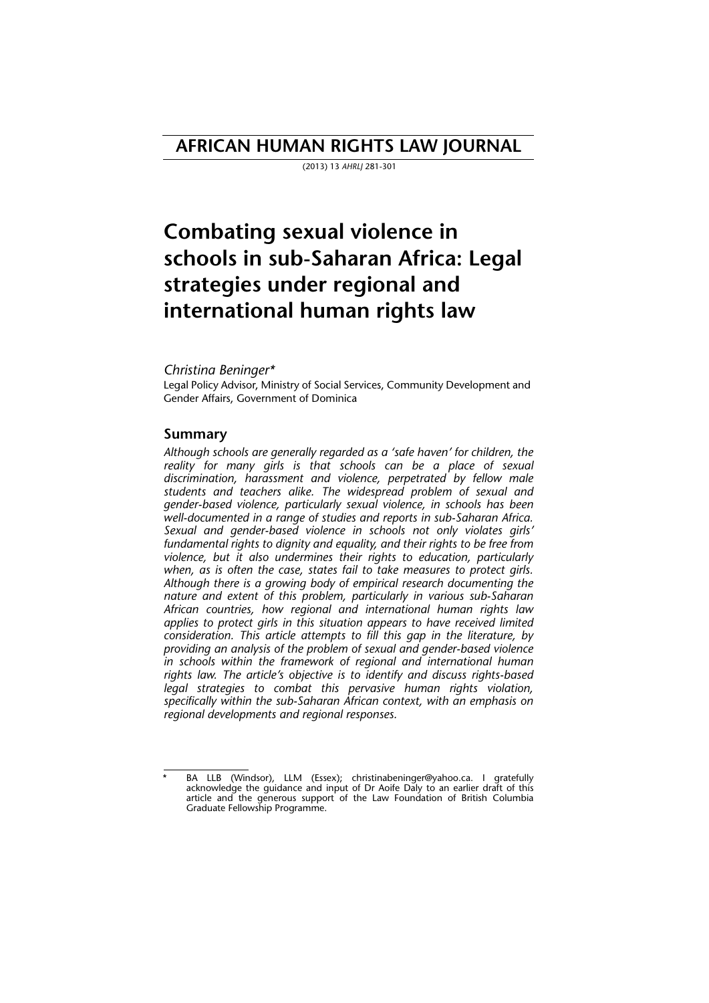# **AFRICAN HUMAN RIGHTS LAW JOURNAL**

(2013) 13 *AHRLJ* 281-301

# **Combating sexual violence in schools in sub-Saharan Africa: Legal strategies under regional and international human rights law**

#### *Christina Beninger\**

Legal Policy Advisor, Ministry of Social Services, Community Development and Gender Affairs, Government of Dominica

#### **Summary**

*Although schools are generally regarded as a 'safe haven' for children, the reality for many girls is that schools can be a place of sexual discrimination, harassment and violence, perpetrated by fellow male students and teachers alike. The widespread problem of sexual and gender-based violence, particularly sexual violence, in schools has been well-documented in a range of studies and reports in sub-Saharan Africa. Sexual and gender-based violence in schools not only violates girls' fundamental rights to dignity and equality, and their rights to be free from violence, but it also undermines their rights to education, particularly when, as is often the case, states fail to take measures to protect girls. Although there is a growing body of empirical research documenting the nature and extent of this problem, particularly in various sub-Saharan African countries, how regional and international human rights law applies to protect girls in this situation appears to have received limited consideration. This article attempts to fill this gap in the literature, by providing an analysis of the problem of sexual and gender-based violence in schools within the framework of regional and international human rights law. The article's objective is to identify and discuss rights-based legal strategies to combat this pervasive human rights violation, specifically within the sub-Saharan African context, with an emphasis on regional developments and regional responses.* 

BA LLB (Windsor), LLM (Essex); christinabeninger@yahoo.ca. I gratefully acknowledge the guidance and input of Dr Aoife Daly to an earlier draft of this article and the generous support of the Law Foundation of British Columbia Graduate Fellowship Programme.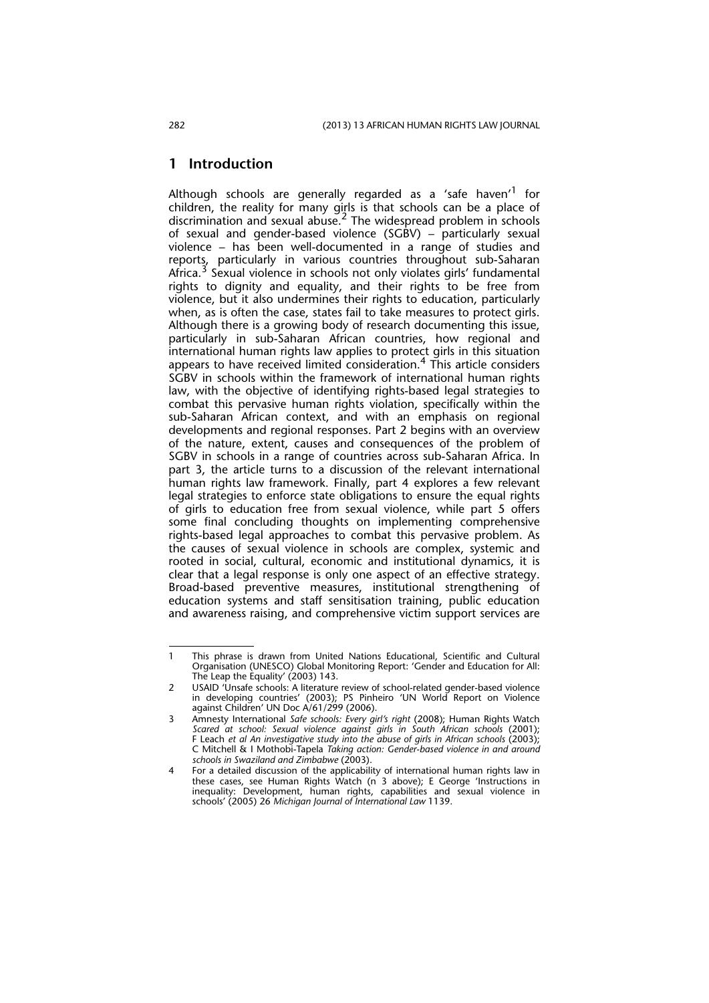#### **1 Introduction**

Although schools are generally regarded as a 'safe haven'<sup>1</sup> for children, the reality for many girls is that schools can be a place of discrimination and sexual abuse.<sup>2</sup> The widespread problem in schools of sexual and gender-based violence (SGBV) – particularly sexual violence – has been well-documented in a range of studies and reports, particularly in various countries throughout sub-Saharan Africa.<sup>3</sup> Sexual violence in schools not only violates girls' fundamental rights to dignity and equality, and their rights to be free from violence, but it also undermines their rights to education, particularly when, as is often the case, states fail to take measures to protect girls. Although there is a growing body of research documenting this issue, particularly in sub-Saharan African countries, how regional and international human rights law applies to protect girls in this situation appears to have received limited consideration.4 This article considers SGBV in schools within the framework of international human rights law, with the objective of identifying rights-based legal strategies to combat this pervasive human rights violation, specifically within the sub-Saharan African context, and with an emphasis on regional developments and regional responses. Part 2 begins with an overview of the nature, extent, causes and consequences of the problem of SGBV in schools in a range of countries across sub-Saharan Africa. In part 3, the article turns to a discussion of the relevant international human rights law framework. Finally, part 4 explores a few relevant legal strategies to enforce state obligations to ensure the equal rights of girls to education free from sexual violence, while part 5 offers some final concluding thoughts on implementing comprehensive rights-based legal approaches to combat this pervasive problem. As the causes of sexual violence in schools are complex, systemic and rooted in social, cultural, economic and institutional dynamics, it is clear that a legal response is only one aspect of an effective strategy. Broad-based preventive measures, institutional strengthening of education systems and staff sensitisation training, public education and awareness raising, and comprehensive victim support services are

<sup>1</sup> This phrase is drawn from United Nations Educational, Scientific and Cultural Organisation (UNESCO) Global Monitoring Report: 'Gender and Education for All: The Leap the Equality' (2003) 143.

USAID 'Unsafe schools: A literature review of school-related gender-based violence in developing countries' (2003); PS Pinheiro 'UN World Report on Violence against Children' UN Doc A/61/299 (2006).

<sup>3</sup> Amnesty International *Safe schools: Every girl's right* (2008); Human Rights Watch *Scared at school: Sexual violence against girls in South African schools* (2001); F Leach *et al An investigative study into the abuse of girls in African schools* (2003); C Mitchell & I Mothobi-Tapela *Taking action: Gender-based violence in and around schools in Swaziland and Zimbabwe* (2003).

<sup>4</sup> For a detailed discussion of the applicability of international human rights law in these cases, see Human Rights Watch (n 3 above); E George 'Instructions in inequality: Development, human rights, capabilities and sexual violence in schools' (2005) 26 *Michigan Journal of International Law* 1139.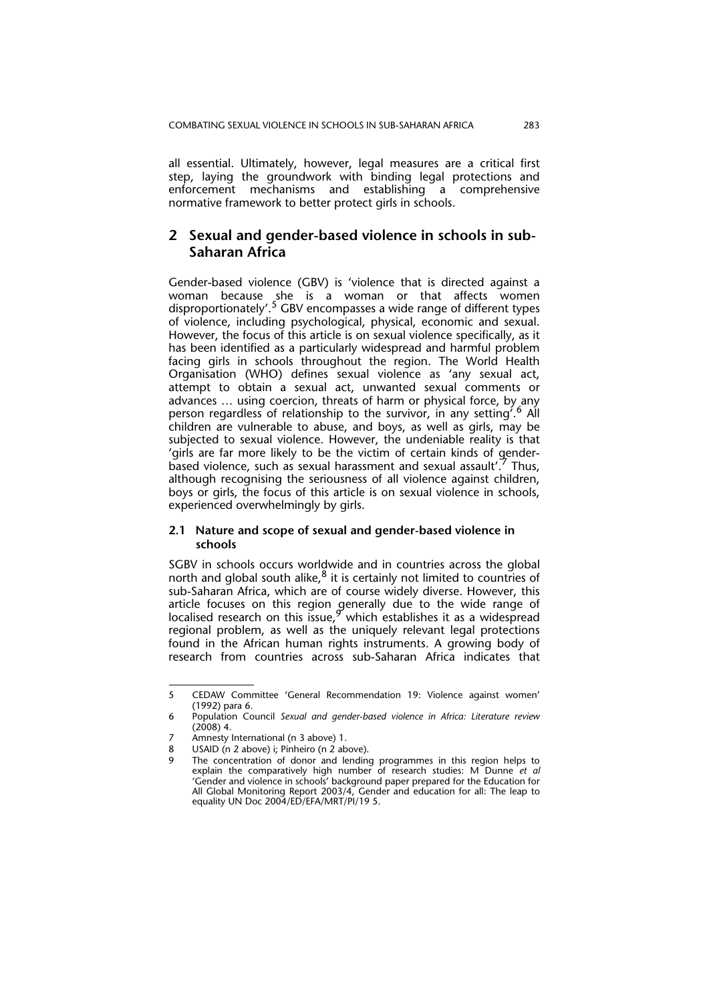all essential. Ultimately, however, legal measures are a critical first step, laying the groundwork with binding legal protections and enforcement mechanisms and establishing a comprehensive normative framework to better protect girls in schools.

## **2 Sexual and gender-based violence in schools in sub-Saharan Africa**

Gender-based violence (GBV) is 'violence that is directed against a woman because she is a woman or that affects women disproportionately'.<sup>5</sup> GBV encompasses a wide range of different types of violence, including psychological, physical, economic and sexual. However, the focus of this article is on sexual violence specifically, as it has been identified as a particularly widespread and harmful problem facing girls in schools throughout the region. The World Health Organisation (WHO) defines sexual violence as 'any sexual act, attempt to obtain a sexual act, unwanted sexual comments or advances … using coercion, threats of harm or physical force, by any person regardless of relationship to the survivor, in any setting'.6 All children are vulnerable to abuse, and boys, as well as girls, may be subjected to sexual violence. However, the undeniable reality is that 'girls are far more likely to be the victim of certain kinds of genderbased violence, such as sexual harassment and sexual assault'.7 Thus, although recognising the seriousness of all violence against children, boys or girls, the focus of this article is on sexual violence in schools, experienced overwhelmingly by girls.

#### **2.1 Nature and scope of sexual and gender-based violence in schools**

SGBV in schools occurs worldwide and in countries across the global north and global south alike, $8$  it is certainly not limited to countries of sub-Saharan Africa, which are of course widely diverse. However, this article focuses on this region generally due to the wide range of localised research on this issue,  $9$  which establishes it as a widespread regional problem, as well as the uniquely relevant legal protections found in the African human rights instruments. A growing body of research from countries across sub-Saharan Africa indicates that

<sup>5</sup> CEDAW Committee 'General Recommendation 19: Violence against women' (1992) para 6.

<sup>6</sup> Population Council *Sexual and gender-based violence in Africa: Literature review* (2008) 4.

<sup>7</sup> Amnesty International (n 3 above) 1.

USAID (n 2 above) i; Pinheiro (n 2 above).

The concentration of donor and lending programmes in this region helps to explain the comparatively high number of research studies: M Dunne *et al* 'Gender and violence in schools' background paper prepared for the Education for All Global Monitoring Report 2003/4, Gender and education for all: The leap to equality UN Doc 2004/ED/EFA/MRT/PI/19 5.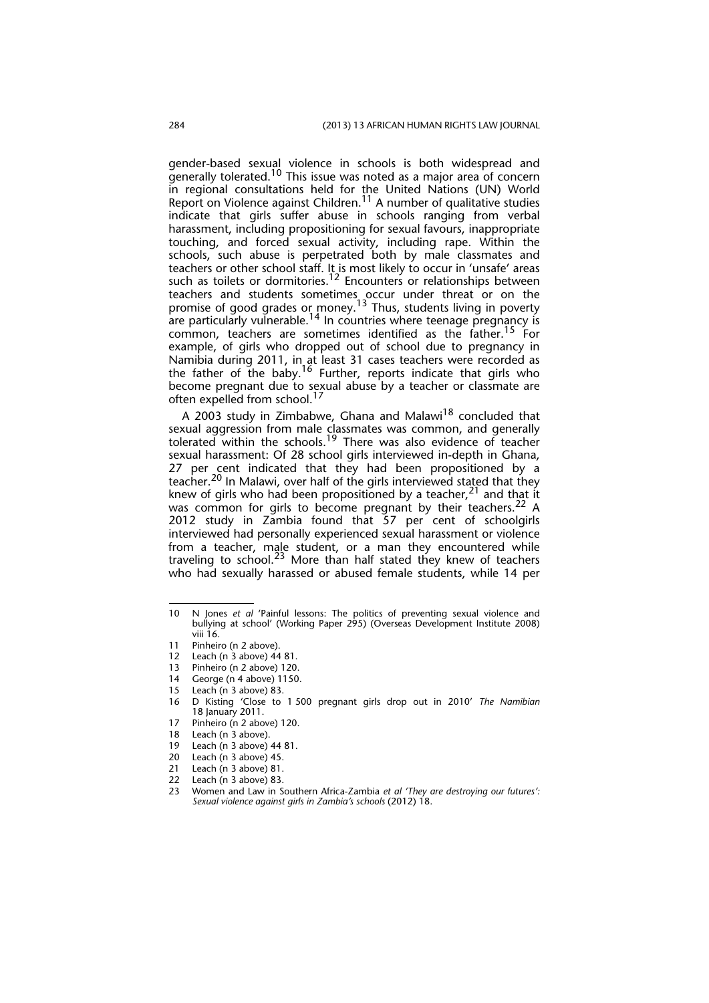gender-based sexual violence in schools is both widespread and generally tolerated.<sup>10</sup> This issue was noted as a major area of concern in regional consultations held for the United Nations (UN) World Report on Violence against Children.<sup>11</sup> A number of qualitative studies indicate that girls suffer abuse in schools ranging from verbal harassment, including propositioning for sexual favours, inappropriate touching, and forced sexual activity, including rape. Within the schools, such abuse is perpetrated both by male classmates and teachers or other school staff. It is most likely to occur in 'unsafe' areas such as toilets or dormitories.<sup>12</sup> Encounters or relationships between teachers and students sometimes occur under threat or on the promise of good grades or money.<sup>13</sup> Thus, students living in poverty are particularly vulnerable. $^{14}$  In countries where teenage pregnancy is common, teachers are sometimes identified as the father.<sup>15</sup> For example, of girls who dropped out of school due to pregnancy in Namibia during 2011, in at least 31 cases teachers were recorded as the father of the baby.<sup>16</sup> Further, reports indicate that girls who become pregnant due to sexual abuse by a teacher or classmate are often expelled from school.<sup>17</sup>

A 2003 study in Zimbabwe, Ghana and Malawi $1^8$  concluded that sexual aggression from male classmates was common, and generally tolerated within the schools.<sup>19</sup> There was also evidence of teacher sexual harassment: Of 28 school girls interviewed in-depth in Ghana, 27 per cent indicated that they had been propositioned by a teacher.<sup>20</sup> In Malawi, over half of the girls interviewed stated that they knew of girls who had been propositioned by a teacher,  $2^1$  and that it was common for girls to become pregnant by their teachers.<sup>22</sup> A 2012 study in Zambia found that 57 per cent of schoolgirls interviewed had personally experienced sexual harassment or violence from a teacher, male student, or a man they encountered while traveling to school.23 More than half stated they knew of teachers who had sexually harassed or abused female students, while 14 per

Leach (n 3 above) 81.

23 Women and Law in Southern Africa-Zambia *et al 'They are destroying our futures': Sexual violence against girls in Zambia's schools* (2012) 18.

<sup>10</sup> N Jones *et al* 'Painful lessons: The politics of preventing sexual violence and bullying at school' (Working Paper 295) (Overseas Development Institute 2008) viii 16.

<sup>11</sup> Pinheiro (n 2 above).

<sup>12</sup> Leach (n 3 above) 44 81.

<sup>13</sup> Pinheiro (n 2 above) 120.

George (n 4 above) 1150.

<sup>15</sup> Leach (n 3 above) 83.

<sup>16</sup> D Kisting 'Close to 1 500 pregnant girls drop out in 2010' *The Namibian* 18 January 2011.

<sup>17</sup> Pinheiro (n 2 above) 120.<br>18 Leach (n 3 above).

Leach (n 3 above).

<sup>19</sup> Leach (n 3 above) 44 81.

<sup>20</sup> Leach (n 3 above) 45.<br>21 Leach (n 3 above) 81.

<sup>22</sup> Leach (n 3 above) 83.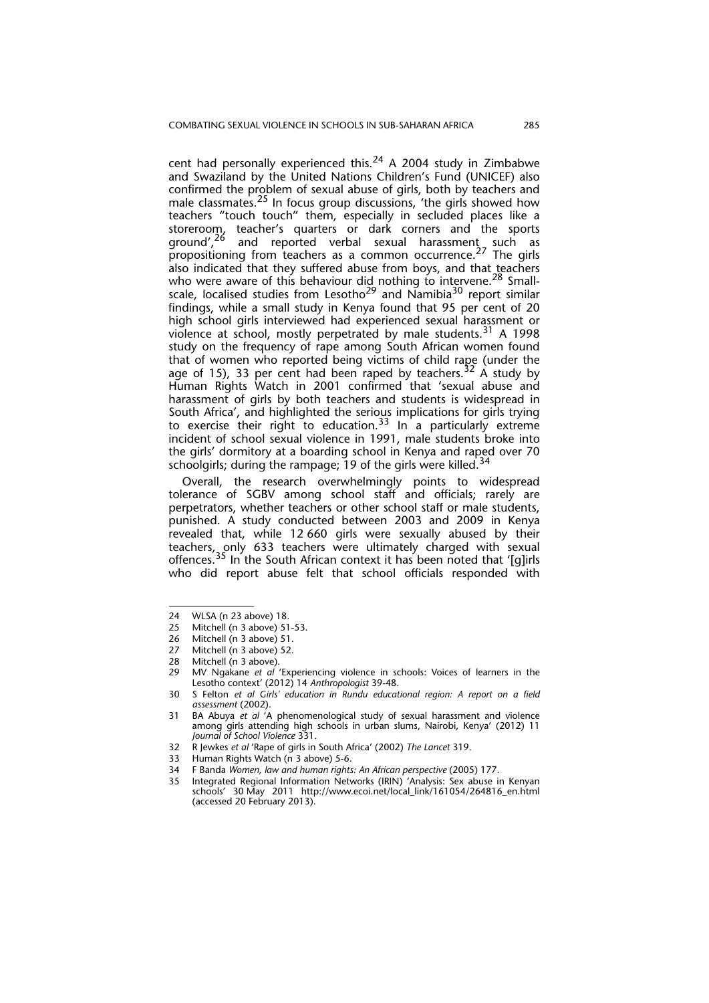cent had personally experienced this.<sup>24</sup> A 2004 study in Zimbabwe and Swaziland by the United Nations Children's Fund (UNICEF) also confirmed the problem of sexual abuse of girls, both by teachers and male classmates.<sup>25</sup> In focus group discussions, 'the girls showed how teachers "touch touch" them, especially in secluded places like a storeroom, teacher's quarters or dark corners and the sports ground',<sup>26</sup> and reported verbal sexual harassment\_such as propositioning from teachers as a common occurrence.<sup>27</sup> The girls also indicated that they suffered abuse from boys, and that teachers who were aware of this behaviour did nothing to intervene.<sup>28</sup> Smallscale, localised studies from Lesotho<sup>29</sup> and Namibia<sup>30</sup> report similar findings, while a small study in Kenya found that 95 per cent of 20 high school girls interviewed had experienced sexual harassment or violence at school, mostly perpetrated by male students.<sup>31</sup> A 1998 study on the frequency of rape among South African women found that of women who reported being victims of child rape (under the age of 15), 33 per cent had been raped by teachers.<sup>32</sup> A study by Human Rights Watch in 2001 confirmed that 'sexual abuse and harassment of girls by both teachers and students is widespread in South Africa', and highlighted the serious implications for girls trying to exercise their right to education.<sup>33</sup> In a particularly extreme incident of school sexual violence in 1991, male students broke into the girls' dormitory at a boarding school in Kenya and raped over 70 schoolgirls; during the rampage; 19 of the girls were killed.<sup>34</sup>

Overall, the research overwhelmingly points to widespread tolerance of SGBV among school staff and officials; rarely are perpetrators, whether teachers or other school staff or male students, punished. A study conducted between 2003 and 2009 in Kenya revealed that, while 12 660 girls were sexually abused by their teachers, only 633 teachers were ultimately charged with sexual offences.<sup>35</sup> In the South African context it has been noted that '[g]irls who did report abuse felt that school officials responded with

<sup>24</sup> WLSA (n 23 above) 18.

<sup>25</sup> Mitchell (n 3 above) 51-53.

<sup>26</sup> Mitchell (n 3 above) 51.<br>27 Mitchell (n 3 above) 52

<sup>27</sup> Mitchell (n 3 above) 52.<br>28 Mitchell (n 3 above)

Mitchell (n 3 above).

<sup>29</sup> MV Ngakane *et al* 'Experiencing violence in schools: Voices of learners in the Lesotho context' (2012) 14 *Anthropologist* 39-48.

<sup>30</sup> S Felton *et al Girls' education in Rundu educational region: A report on a field assessment* (2002).

<sup>31</sup> BA Abuya *et al* 'A phenomenological study of sexual harassment and violence among girls attending high schools in urban slums, Nairobi, Kenya' (2012) 11 *Journal of School Violence* 331.

<sup>32</sup> R Jewkes *et al* 'Rape of girls in South Africa' (2002) *The Lancet* 319.

<sup>33</sup> Human Rights Watch (n 3 above) 5-6.

<sup>34</sup> F Banda *Women, law and human rights: An African perspective* (2005) 177.<br>35 Integrated Regional Information Networks (IRIN) 'Analysis: Sex abuse in

Integrated Regional Information Networks (IRIN) 'Analysis: Sex abuse in Kenyan schools' 30 May 2011 http://www.ecoi.net/local\_link/161054/264816\_en.html (accessed 20 February 2013).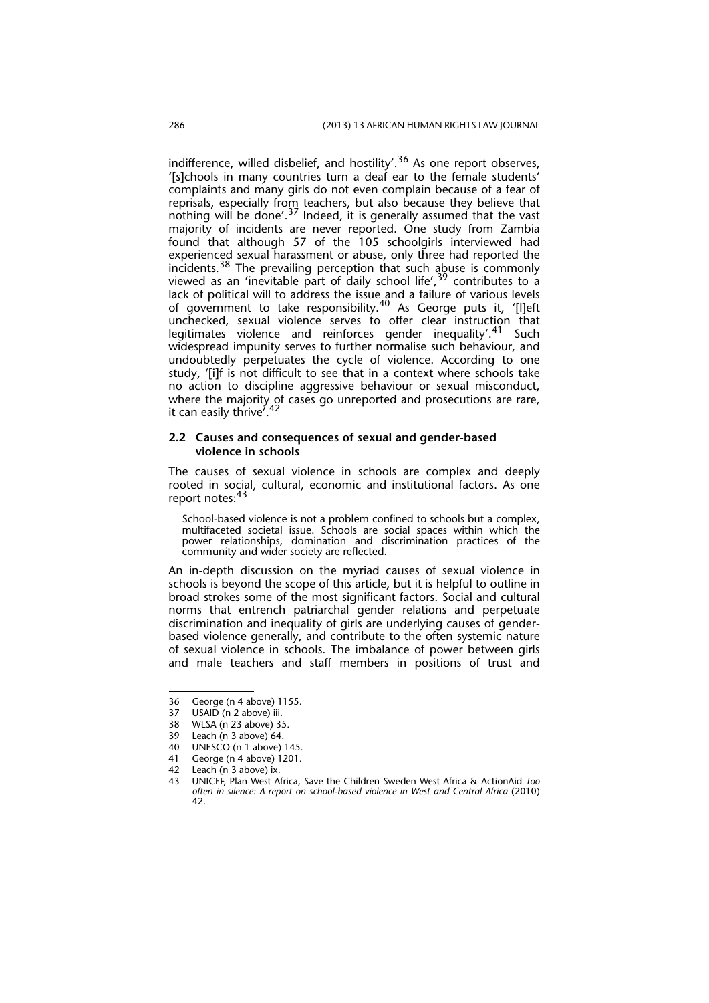indifference, willed disbelief, and hostility'.<sup>36</sup> As one report observes, '[s]chools in many countries turn a deaf ear to the female students' complaints and many girls do not even complain because of a fear of reprisals, especially from teachers, but also because they believe that nothing will be done'.37 Indeed, it is generally assumed that the vast majority of incidents are never reported. One study from Zambia found that although 57 of the 105 schoolgirls interviewed had experienced sexual harassment or abuse, only three had reported the incidents.<sup>38</sup> The prevailing perception that such abuse is commonly viewed as an 'inevitable part of daily school life',  $39$  contributes to a lack of political will to address the issue and a failure of various levels of government to take responsibility.40 As George puts it, '[l]eft unchecked, sexual violence serves to offer clear instruction that legitimates violence and reinforces gender inequality'.<sup>41</sup> Such widespread impunity serves to further normalise such behaviour, and undoubtedly perpetuates the cycle of violence. According to one study, '[i]f is not difficult to see that in a context where schools take no action to discipline aggressive behaviour or sexual misconduct, where the majority of cases go unreported and prosecutions are rare, it can easily thrive<sup>742</sup>

#### **2.2 Causes and consequences of sexual and gender-based violence in schools**

The causes of sexual violence in schools are complex and deeply rooted in social, cultural, economic and institutional factors. As one report notes:<sup>43</sup>

School-based violence is not a problem confined to schools but a complex, multifaceted societal issue. Schools are social spaces within which the power relationships, domination and discrimination practices of the community and wider society are reflected.

An in-depth discussion on the myriad causes of sexual violence in schools is beyond the scope of this article, but it is helpful to outline in broad strokes some of the most significant factors. Social and cultural norms that entrench patriarchal gender relations and perpetuate discrimination and inequality of girls are underlying causes of genderbased violence generally, and contribute to the often systemic nature of sexual violence in schools. The imbalance of power between girls and male teachers and staff members in positions of trust and

<sup>36</sup> George (n 4 above) 1155.<br>37 USAID (n 2 above) iii.

USAID (n 2 above) iii.

<sup>38</sup> WLSA (n 23 above) 35.<br>39 Leach (n 3 above) 64.

<sup>39</sup> Leach (n 3 above) 64.<br>40 LINESCO (n 1 above)

UNESCO (n 1 above) 145.

<sup>41</sup> George (n 4 above) 1201.

<sup>42</sup> Leach (n 3 above) ix.

<sup>43</sup> UNICEF, Plan West Africa, Save the Children Sweden West Africa & ActionAid *Too often in silence: A report on school-based violence in West and Central Africa* (2010) 42.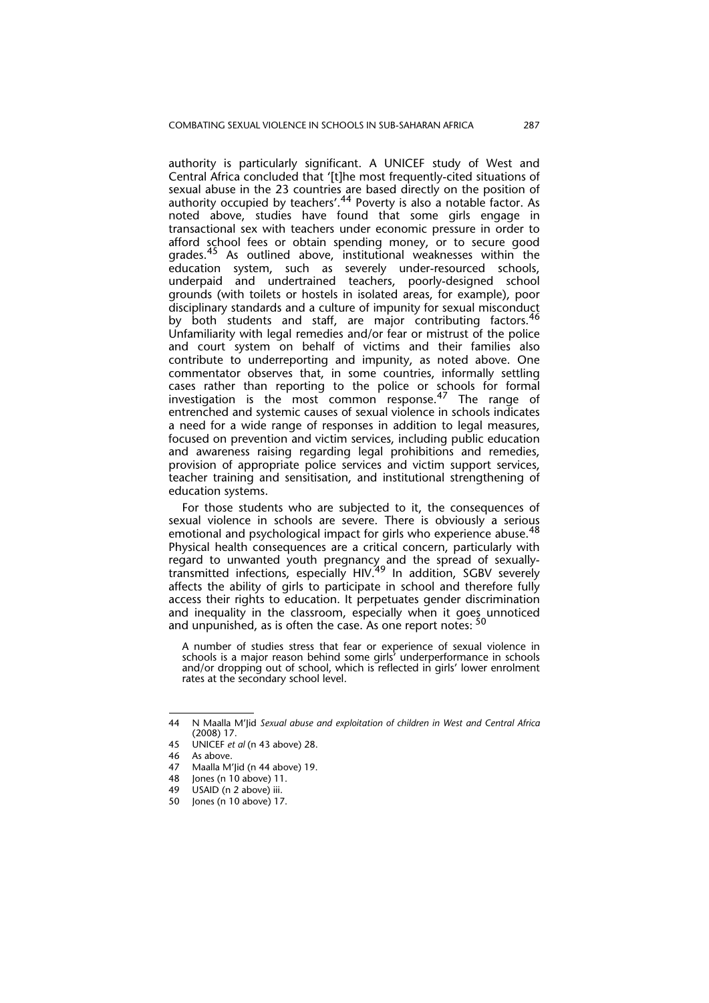authority is particularly significant. A UNICEF study of West and Central Africa concluded that '[t]he most frequently-cited situations of sexual abuse in the 23 countries are based directly on the position of authority occupied by teachers'.44 Poverty is also a notable factor. As noted above, studies have found that some girls engage in transactional sex with teachers under economic pressure in order to afford school fees or obtain spending money, or to secure good grades.<sup>45</sup> As outlined above, institutional weaknesses within the education system, such as severely under-resourced schools, underpaid and undertrained teachers, poorly-designed school grounds (with toilets or hostels in isolated areas, for example), poor disciplinary standards and a culture of impunity for sexual misconduct by both students and staff, are major contributing factors. Unfamiliarity with legal remedies and/or fear or mistrust of the police and court system on behalf of victims and their families also contribute to underreporting and impunity, as noted above. One commentator observes that, in some countries, informally settling cases rather than reporting to the police or schools for formal investigation is the most common response. $^{47}$  The range of entrenched and systemic causes of sexual violence in schools indicates a need for a wide range of responses in addition to legal measures, focused on prevention and victim services, including public education and awareness raising regarding legal prohibitions and remedies, provision of appropriate police services and victim support services, teacher training and sensitisation, and institutional strengthening of education systems.

For those students who are subjected to it, the consequences of sexual violence in schools are severe. There is obviously a serious emotional and psychological impact for girls who experience abuse.  $48$ Physical health consequences are a critical concern, particularly with regard to unwanted youth pregnancy and the spread of sexuallytransmitted infections, especially HIV.<sup>49</sup> In addition, SGBV severely affects the ability of girls to participate in school and therefore fully access their rights to education. It perpetuates gender discrimination and inequality in the classroom, especially when it goes unnoticed and unpunished, as is often the case. As one report notes:  $50$ 

A number of studies stress that fear or experience of sexual violence in schools is a major reason behind some girls' underperformance in schools and/or dropping out of school, which is reflected in girls' lower enrolment rates at the secondary school level.

<sup>44</sup> N Maalla M'Jid *Sexual abuse and exploitation of children in West and Central Africa* (2008) 17.

<sup>45</sup> UNICEF *et al* (n 43 above) 28.

As above.

<sup>47</sup> Maalla M'Jid (n 44 above) 19.

<sup>48</sup> Jones (n 10 above) 11.<br>49  $\left| \right|$  1154ID (n 2 above) iii

USAID (n 2 above) iii.

<sup>50</sup> Jones (n 10 above) 17.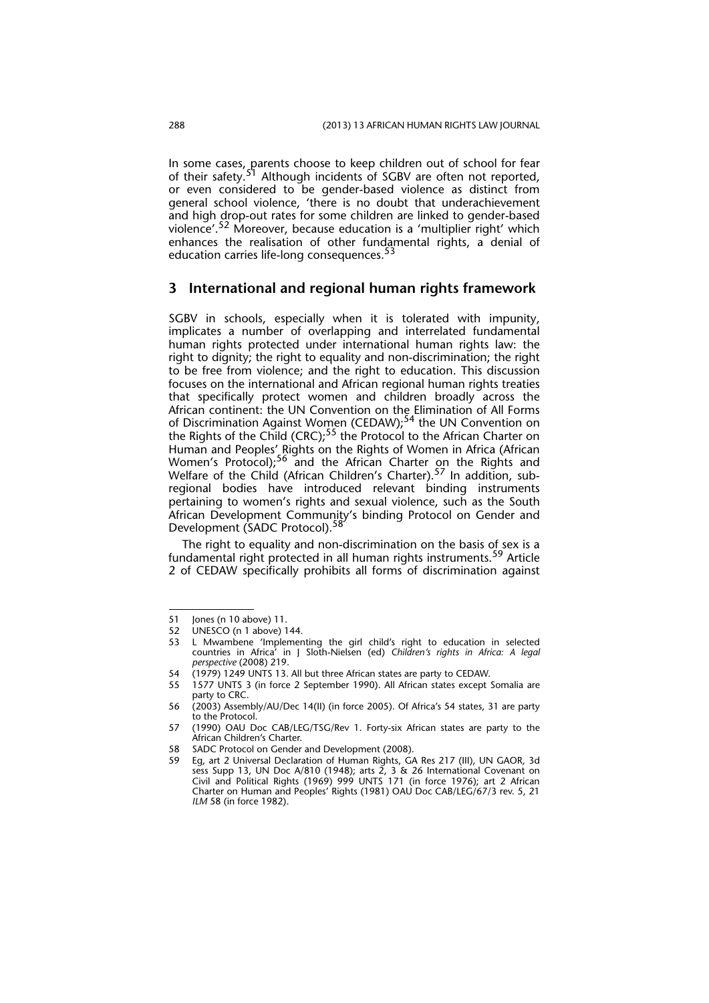In some cases, parents choose to keep children out of school for fear of their safety.<sup>51</sup> Although incidents of SGBV are often not reported, or even considered to be gender-based violence as distinct from general school violence, 'there is no doubt that underachievement and high drop-out rates for some children are linked to gender-based violence'.52 Moreover, because education is a 'multiplier right' which enhances the realisation of other fundamental rights, a denial of education carries life-long consequences.<sup>5</sup>

#### **3 International and regional human rights framework**

SGBV in schools, especially when it is tolerated with impunity, implicates a number of overlapping and interrelated fundamental human rights protected under international human rights law: the right to dignity; the right to equality and non-discrimination; the right to be free from violence; and the right to education. This discussion focuses on the international and African regional human rights treaties that specifically protect women and children broadly across the African continent: the UN Convention on the Elimination of All Forms of Discrimination Against Women (CEDAW);<sup>54</sup> the UN Convention on the Rights of the Child (CRC);<sup>55</sup> the Protocol to the African Charter on Human and Peoples' Rights on the Rights of Women in Africa (African Women's Protocol);<sup>56</sup> and the African Charter on the Rights and Welfare of the Child (African Children's Charter).<sup>57</sup> In addition, subregional bodies have introduced relevant binding instruments pertaining to women's rights and sexual violence, such as the South African Development Community's binding Protocol on Gender and Development (SADC Protocol).<sup>58</sup>

The right to equality and non-discrimination on the basis of sex is a fundamental right protected in all human rights instruments.<sup>59</sup> Article 2 of CEDAW specifically prohibits all forms of discrimination against

<sup>51</sup> Jones (n 10 above) 11.<br>52 UNESCO (n 1 above) 1

UNESCO (n 1 above) 144.

<sup>53</sup> L Mwambene 'Implementing the girl child's right to education in selected countries in Africa' in J Sloth-Nielsen (ed) *Children's rights in Africa: A legal perspective* (2008) 219.

<sup>54 (1979) 1249</sup> UNTS 13. All but three African states are party to CEDAW.

<sup>55 1577</sup> UNTS 3 (in force 2 September 1990). All African states except Somalia are party to CRC. 56 (2003) Assembly/AU/Dec 14(II) (in force 2005). Of Africa's 54 states, 31 are party

to the Protocol. 57 (1990) OAU Doc CAB/LEG/TSG/Rev 1. Forty-six African states are party to the

African Children's Charter.

<sup>58</sup> SADC Protocol on Gender and Development (2008).

<sup>59</sup> Eg, art 2 Universal Declaration of Human Rights, GA Res 217 (III), UN GAOR, 3d sess Supp 13, UN Doc A/810 (1948); arts 2, 3 & 26 International Covenant on Civil and Political Rights (1969) 999 UNTS 171 (in force 1976); art 2 African Charter on Human and Peoples' Rights (1981) OAU Doc CAB/LEG/67/3 rev. 5, 21 *ILM* 58 (in force 1982).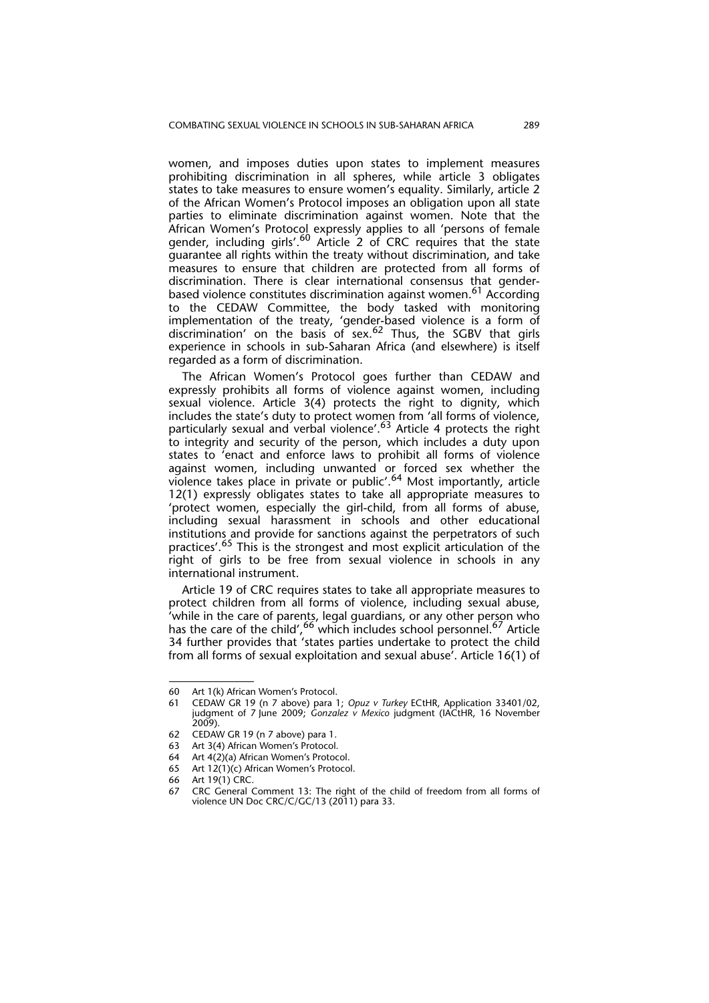women, and imposes duties upon states to implement measures prohibiting discrimination in all spheres, while article 3 obligates states to take measures to ensure women's equality. Similarly, article 2 of the African Women's Protocol imposes an obligation upon all state parties to eliminate discrimination against women. Note that the African Women's Protocol expressly applies to all 'persons of female gender, including girls'.<sup>60</sup> Article 2 of CRC requires that the state guarantee all rights within the treaty without discrimination, and take measures to ensure that children are protected from all forms of discrimination. There is clear international consensus that genderbased violence constitutes discrimination against women.<sup>61</sup> According to the CEDAW Committee, the body tasked with monitoring implementation of the treaty, 'gender-based violence is a form of discrimination' on the basis of sex.<sup>62</sup> Thus, the SGBV that girls experience in schools in sub-Saharan Africa (and elsewhere) is itself regarded as a form of discrimination.

The African Women's Protocol goes further than CEDAW and expressly prohibits all forms of violence against women, including sexual violence. Article 3(4) protects the right to dignity, which includes the state's duty to protect women from 'all forms of violence, particularly sexual and verbal violence'.<sup>63</sup> Article 4 protects the right to integrity and security of the person, which includes a duty upon states to 'enact and enforce laws to prohibit all forms of violence against women, including unwanted or forced sex whether the violence takes place in private or public'.<sup>64</sup> Most importantly, article 12(1) expressly obligates states to take all appropriate measures to 'protect women, especially the girl-child, from all forms of abuse, including sexual harassment in schools and other educational institutions and provide for sanctions against the perpetrators of such practices'.<sup>65</sup> This is the strongest and most explicit articulation of the right of girls to be free from sexual violence in schools in any international instrument.

Article 19 of CRC requires states to take all appropriate measures to protect children from all forms of violence, including sexual abuse, 'while in the care of parents, legal guardians, or any other person who has the care of the child', <sup>66</sup> which includes school personnel.<sup>67</sup> Article 34 further provides that 'states parties undertake to protect the child from all forms of sexual exploitation and sexual abuse'. Article 16(1) of

<sup>60</sup> Art 1(k) African Women's Protocol.

<sup>61</sup> CEDAW GR 19 (n 7 above) para 1; *Opuz v Turkey* ECtHR, Application 33401/02, judgment of 7 June 2009; *Gonzalez v Mexico* judgment (IACtHR, 16 November  $(2009)$ .

<sup>62</sup> CEDAW GR 19 (n 7 above) para 1.

<sup>63</sup> Art 3(4) African Women's Protocol.

<sup>64</sup> Art 4(2)(a) African Women's Protocol.

<sup>65</sup> Art 12(1)(c) African Women's Protocol.

<sup>66</sup> Art 19(1) CRC.

<sup>67</sup> CRC General Comment 13: The right of the child of freedom from all forms of violence UN Doc CRC/C/GC/13 (2011) para 33.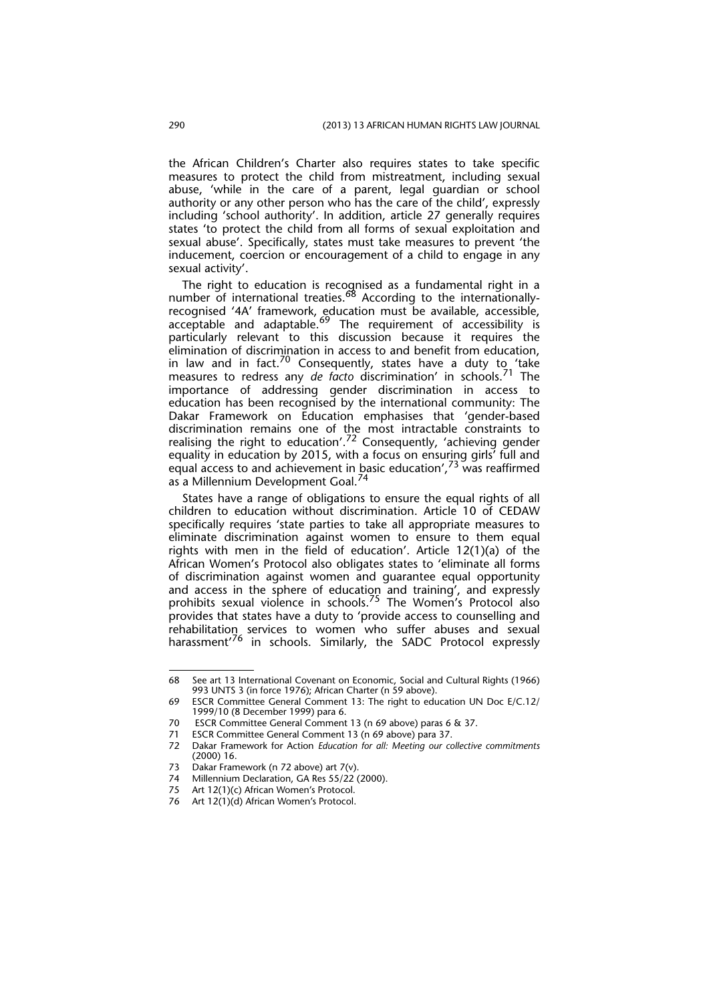the African Children's Charter also requires states to take specific measures to protect the child from mistreatment, including sexual abuse, 'while in the care of a parent, legal guardian or school authority or any other person who has the care of the child', expressly including 'school authority'. In addition, article 27 generally requires states 'to protect the child from all forms of sexual exploitation and sexual abuse'. Specifically, states must take measures to prevent 'the inducement, coercion or encouragement of a child to engage in any sexual activity'.

The right to education is recognised as a fundamental right in a number of international treaties.<sup>68</sup> According to the internationallyrecognised '4A' framework, education must be available, accessible, acceptable and adaptable.<sup>69</sup> The requirement of accessibility is particularly relevant to this discussion because it requires the elimination of discrimination in access to and benefit from education, in law and in fact.<sup>70</sup> Consequently, states have a duty to 'take measures to redress any *de facto* discrimination' in schools.71 The importance of addressing gender discrimination in access to education has been recognised by the international community: The Dakar Framework on Education emphasises that 'gender-based discrimination remains one of the most intractable constraints to realising the right to education'.<sup>72</sup> Consequently, 'achieving gender equality in education by 2015, with a focus on ensuring girls' full and equal access to and achievement in basic education',  $73$  was reaffirmed as a Millennium Development Goal.<sup>74</sup>

States have a range of obligations to ensure the equal rights of all children to education without discrimination. Article 10 of CEDAW specifically requires 'state parties to take all appropriate measures to eliminate discrimination against women to ensure to them equal rights with men in the field of education'. Article 12(1)(a) of the African Women's Protocol also obligates states to 'eliminate all forms of discrimination against women and guarantee equal opportunity and access in the sphere of education and training', and expressly prohibits sexual violence in schools.<sup>75</sup> The Women's Protocol also provides that states have a duty to 'provide access to counselling and rehabilitation services to women who suffer abuses and sexual harassment'<sup>76</sup> in schools. Similarly, the SADC Protocol expressly

<sup>68</sup> See art 13 International Covenant on Economic, Social and Cultural Rights (1966) 993 UNTS 3 (in force 1976); African Charter (n 59 above).

<sup>69</sup> ESCR Committee General Comment 13: The right to education UN Doc E/C.12/ 1999/10 (8 December 1999) para 6.

<sup>70</sup> ESCR Committee General Comment 13 (n 69 above) paras 6 & 37.<br>71 ESCR Committee General Comment 13 (n 69 above) para 37.

ESCR Committee General Comment 13 (n 69 above) para 37.

<sup>72</sup> Dakar Framework for Action *Education for all: Meeting our collective commitments* (2000) 16.

<sup>73</sup> Dakar Framework (n 72 above) art 7(v).

<sup>74</sup> Millennium Declaration, GA Res 55/22 (2000).<br>75 Art 12(1)(c) African Women's Protocol.

Art 12(1)(c) African Women's Protocol.

<sup>76</sup> Art 12(1)(d) African Women's Protocol.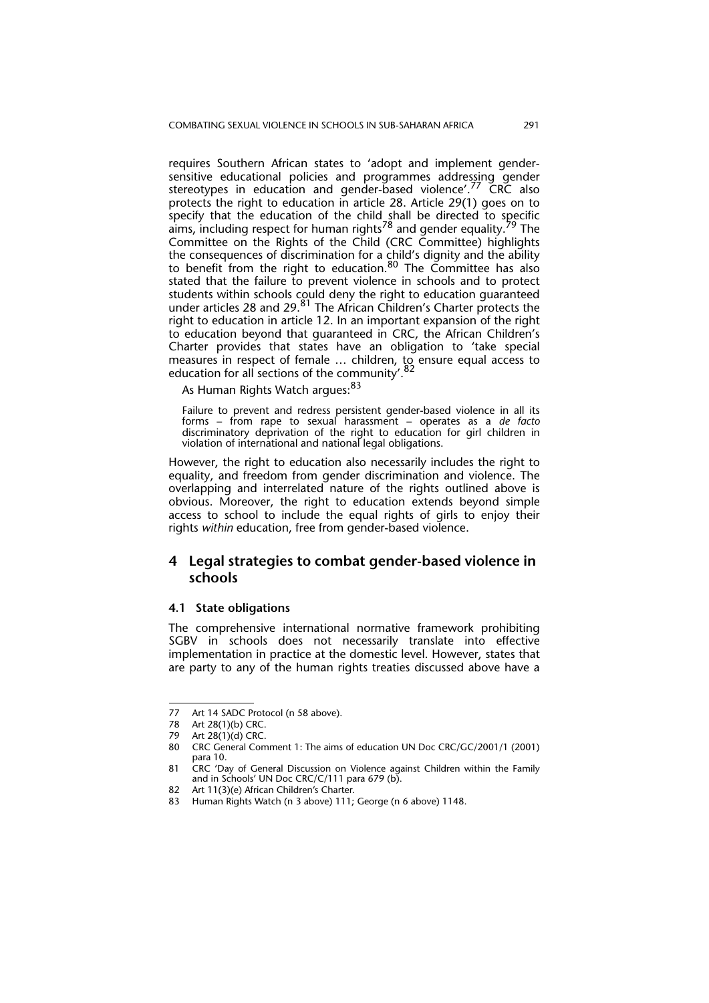requires Southern African states to 'adopt and implement gendersensitive educational policies and programmes addressing gender stereotypes in education and gender-based violence'.<sup>77</sup> CRC also protects the right to education in article 28. Article 29(1) goes on to specify that the education of the child shall be directed to specific aims, including respect for human rights<sup>78</sup> and gender equality.<sup>79</sup> The Committee on the Rights of the Child (CRC Committee) highlights the consequences of discrimination for a child's dignity and the ability to benefit from the right to education.<sup>80</sup> The Committee has also stated that the failure to prevent violence in schools and to protect students within schools could deny the right to education guaranteed under articles 28 and 29.<sup>81</sup> The African Children's Charter protects the right to education in article 12. In an important expansion of the right to education beyond that guaranteed in CRC, the African Children's Charter provides that states have an obligation to 'take special measures in respect of female ... children, to ensure equal access to education for all sections of the community'.<sup>82</sup>

As Human Rights Watch argues: 83

Failure to prevent and redress persistent gender-based violence in all its forms – from rape to sexual harassment – operates as a *de facto* discriminatory deprivation of the right to education for girl children in violation of international and national legal obligations.

However, the right to education also necessarily includes the right to equality, and freedom from gender discrimination and violence. The overlapping and interrelated nature of the rights outlined above is obvious. Moreover, the right to education extends beyond simple access to school to include the equal rights of girls to enjoy their rights *within* education, free from gender-based violence.

### **4 Legal strategies to combat gender-based violence in schools**

#### **4.1 State obligations**

The comprehensive international normative framework prohibiting SGBV in schools does not necessarily translate into effective implementation in practice at the domestic level. However, states that are party to any of the human rights treaties discussed above have a

<sup>77</sup> Art 14 SADC Protocol (n 58 above).

<sup>78</sup> Art 28(1)(b) CRC.<br>79 Art 28(1)(d) CRC.

<sup>79</sup> Art  $28(1)(d)$  CRC.<br>80 CRC General Com

<sup>80</sup> CRC General Comment 1: The aims of education UN Doc CRC/GC/2001/1 (2001) para 10.

<sup>81</sup> CRC 'Day of General Discussion on Violence against Children within the Family and in Schools' UN Doc CRC/C/111 para 679 (b).

<sup>82</sup> Art 11(3)(e) African Children's Charter.

<sup>83</sup> Human Rights Watch (n 3 above) 111; George (n 6 above) 1148.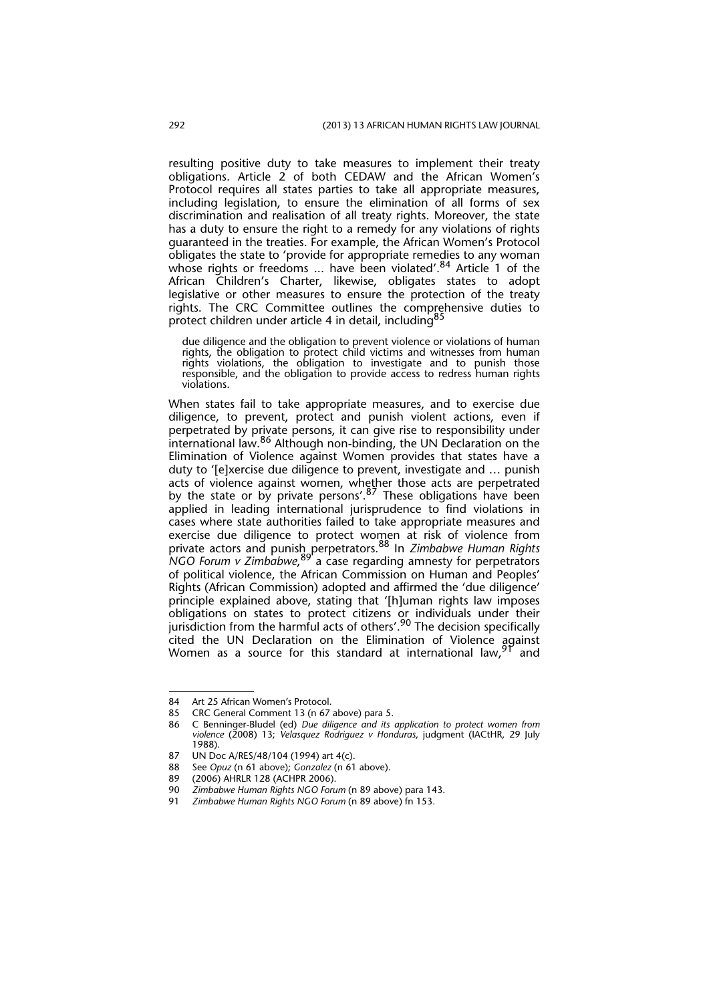resulting positive duty to take measures to implement their treaty obligations. Article 2 of both CEDAW and the African Women's Protocol requires all states parties to take all appropriate measures, including legislation, to ensure the elimination of all forms of sex discrimination and realisation of all treaty rights. Moreover, the state has a duty to ensure the right to a remedy for any violations of rights guaranteed in the treaties. For example, the African Women's Protocol obligates the state to 'provide for appropriate remedies to any woman whose rights or freedoms ... have been violated'.<sup>84</sup> Article 1 of the African Children's Charter, likewise, obligates states to adopt legislative or other measures to ensure the protection of the treaty rights. The CRC Committee outlines the comprehensive duties to protect children under article 4 in detail, including<sup>85</sup>

due diligence and the obligation to prevent violence or violations of human rights, the obligation to protect child victims and witnesses from human rights violations, the obligation to investigate and to punish those responsible, and the obligation to provide access to redress human rights violations.

When states fail to take appropriate measures, and to exercise due diligence, to prevent, protect and punish violent actions, even if perpetrated by private persons, it can give rise to responsibility under international law.86 Although non-binding, the UN Declaration on the Elimination of Violence against Women provides that states have a duty to '[e]xercise due diligence to prevent, investigate and … punish acts of violence against women, whether those acts are perpetrated by the state or by private persons'.<sup>87</sup> These obligations have been applied in leading international jurisprudence to find violations in cases where state authorities failed to take appropriate measures and exercise due diligence to protect women at risk of violence from private actors and punish perpetrators.88 In *Zimbabwe Human Rights NGO Forum v Zimbabwe*, 89 a case regarding amnesty for perpetrators of political violence, the African Commission on Human and Peoples' Rights (African Commission) adopted and affirmed the 'due diligence' principle explained above, stating that '[h]uman rights law imposes obligations on states to protect citizens or individuals under their jurisdiction from the harmful acts of others'.<sup>90</sup> The decision specifically cited the UN Declaration on the Elimination of Violence against Women as a source for this standard at international law,  $91$  and

<sup>84</sup> Art 25 African Women's Protocol.<br>85 CRC General Comment 13 (n 67

<sup>85</sup> CRC General Comment 13 (n 67 above) para 5.

<sup>86</sup> C Benninger-Bludel (ed) *Due diligence and its application to protect women from violence* (2008) 13; *Velasquez Rodriguez v Honduras*, judgment (IACtHR, 29 July 1988).

<sup>87</sup> UN Doc A/RES/48/104 (1994) art 4(c).

<sup>88</sup> See *Opuz* (n 61 above); *Gonzalez* (n 61 above).

<sup>89 (2006)</sup> AHRLR 128 (ACHPR 2006).<br>90 Zimbabwe Human Riahts NGO Foru

<sup>90</sup> *Zimbabwe Human Rights NGO Forum* (n 89 above) para 143.

<sup>91</sup> *Zimbabwe Human Rights NGO Forum* (n 89 above) fn 153.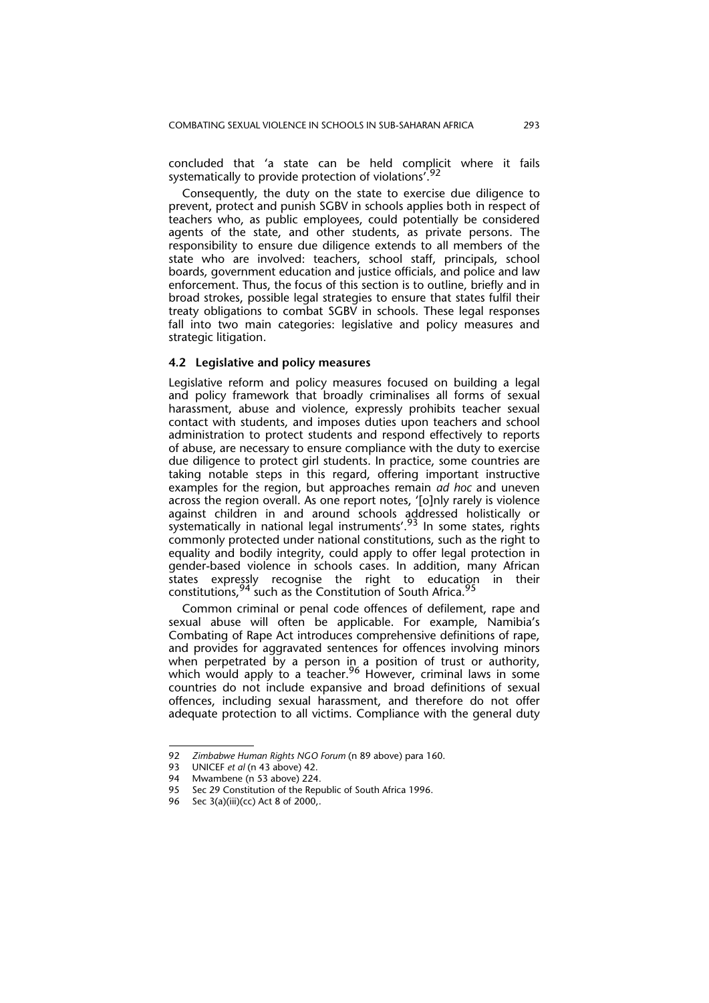concluded that 'a state can be held complicit where it fails systematically to provide protection of violations<sup>'.92</sup>

Consequently, the duty on the state to exercise due diligence to prevent, protect and punish SGBV in schools applies both in respect of teachers who, as public employees, could potentially be considered agents of the state, and other students, as private persons. The responsibility to ensure due diligence extends to all members of the state who are involved: teachers, school staff, principals, school boards, government education and justice officials, and police and law enforcement. Thus, the focus of this section is to outline, briefly and in broad strokes, possible legal strategies to ensure that states fulfil their treaty obligations to combat SGBV in schools. These legal responses fall into two main categories: legislative and policy measures and strategic litigation.

#### **4.2 Legislative and policy measures**

Legislative reform and policy measures focused on building a legal and policy framework that broadly criminalises all forms of sexual harassment, abuse and violence, expressly prohibits teacher sexual contact with students, and imposes duties upon teachers and school administration to protect students and respond effectively to reports of abuse, are necessary to ensure compliance with the duty to exercise due diligence to protect girl students. In practice, some countries are taking notable steps in this regard, offering important instructive examples for the region, but approaches remain *ad hoc* and uneven across the region overall. As one report notes, '[o]nly rarely is violence against children in and around schools addressed holistically or systematically in national legal instruments'.<sup>93</sup> In some states, rights commonly protected under national constitutions, such as the right to equality and bodily integrity, could apply to offer legal protection in gender-based violence in schools cases. In addition, many African states expressly recognise the right to education in their constitutions,  $94$  such as the Constitution of South Africa.  $95$ 

Common criminal or penal code offences of defilement, rape and sexual abuse will often be applicable. For example, Namibia's Combating of Rape Act introduces comprehensive definitions of rape, and provides for aggravated sentences for offences involving minors when perpetrated by a person in a position of trust or authority, which would apply to a teacher.<sup>96</sup> However, criminal laws in some countries do not include expansive and broad definitions of sexual offences, including sexual harassment, and therefore do not offer adequate protection to all victims. Compliance with the general duty

<sup>92</sup> *Zimbabwe Human Rights NGO Forum* (n 89 above) para 160.

<sup>93</sup> UNICEF *et al* (n 43 above) 42.

<sup>94</sup> Mwambene (n 53 above) 224.<br>95 Sec 29 Constitution of the Repu

Sec 29 Constitution of the Republic of South Africa 1996.

<sup>96</sup> Sec 3(a)(iii)(cc) Act 8 of 2000,.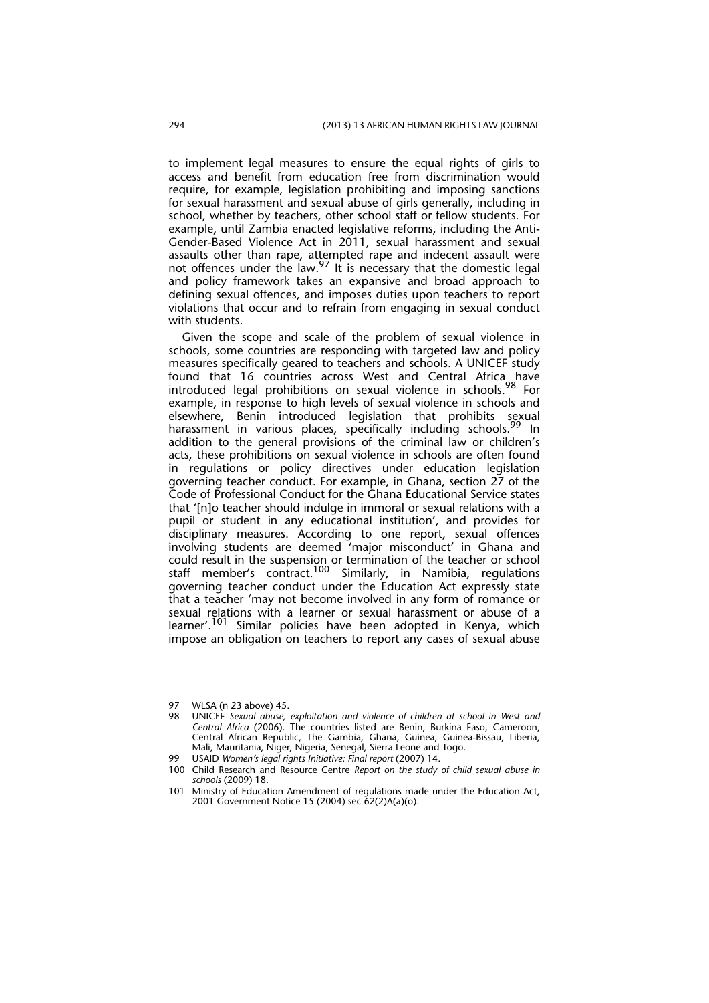to implement legal measures to ensure the equal rights of girls to access and benefit from education free from discrimination would require, for example, legislation prohibiting and imposing sanctions for sexual harassment and sexual abuse of girls generally, including in school, whether by teachers, other school staff or fellow students. For example, until Zambia enacted legislative reforms, including the Anti-Gender-Based Violence Act in 2011, sexual harassment and sexual assaults other than rape, attempted rape and indecent assault were not offences under the law. $^{97}$  It is necessary that the domestic legal and policy framework takes an expansive and broad approach to defining sexual offences, and imposes duties upon teachers to report violations that occur and to refrain from engaging in sexual conduct with students.

Given the scope and scale of the problem of sexual violence in schools, some countries are responding with targeted law and policy measures specifically geared to teachers and schools. A UNICEF study found that 16 countries across West and Central Africa have introduced legal prohibitions on sexual violence in schools.<sup>98</sup> For example, in response to high levels of sexual violence in schools and elsewhere, Benin introduced legislation that prohibits sexual harassment in various places, specifically including schools.<sup>99</sup> In addition to the general provisions of the criminal law or children's acts, these prohibitions on sexual violence in schools are often found in regulations or policy directives under education legislation governing teacher conduct. For example, in Ghana, section 27 of the Code of Professional Conduct for the Ghana Educational Service states that '[n]o teacher should indulge in immoral or sexual relations with a pupil or student in any educational institution', and provides for disciplinary measures. According to one report, sexual offences involving students are deemed 'major misconduct' in Ghana and could result in the suspension or termination of the teacher or school staff member's contract.<sup>100</sup> Similarly, in Namibia, regulations governing teacher conduct under the Education Act expressly state that a teacher 'may not become involved in any form of romance or sexual relations with a learner or sexual harassment or abuse of a learner'.<sup>101</sup> Similar policies have been adopted in Kenya, which impose an obligation on teachers to report any cases of sexual abuse

<sup>97</sup> WLSA (n 23 above) 45.<br>98 UNICEE Sexual abuse.

<sup>98</sup> UNICEF *Sexual abuse, exploitation and violence of children at school in West and Central Africa* (2006). The countries listed are Benin, Burkina Faso, Cameroon, Central African Republic, The Gambia, Ghana, Guinea, Guinea-Bissau, Liberia, Mali, Mauritania, Niger, Nigeria, Senegal, Sierra Leone and Togo.

<sup>99</sup> USAID *Women's legal rights Initiative: Final report* (2007) 14.

<sup>100</sup> Child Research and Resource Centre *Report on the study of child sexual abuse in schools* (2009) 18.

<sup>101</sup> Ministry of Education Amendment of regulations made under the Education Act, 2001 Government Notice 15 (2004) sec 62(2)A(a)(o).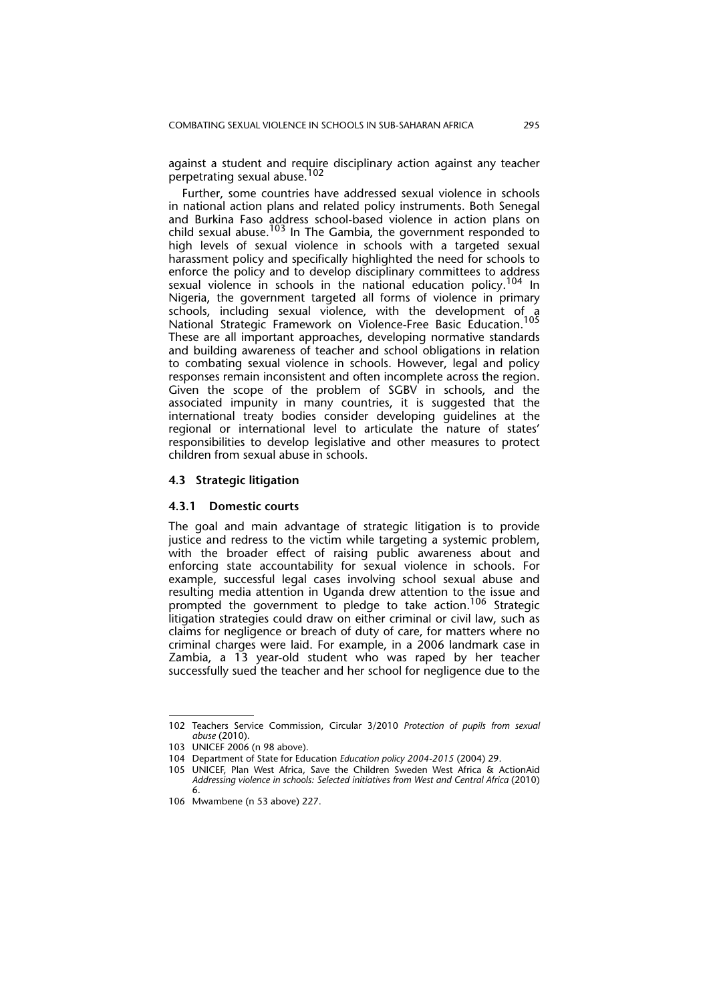against a student and require disciplinary action against any teacher perpetrating sexual abuse.<sup>102</sup>

Further, some countries have addressed sexual violence in schools in national action plans and related policy instruments. Both Senegal and Burkina Faso address school-based violence in action plans on child sexual abuse.<sup>103</sup> In The Gambia, the government responded to high levels of sexual violence in schools with a targeted sexual harassment policy and specifically highlighted the need for schools to enforce the policy and to develop disciplinary committees to address sexual violence in schools in the national education policy.<sup>104</sup> In Nigeria, the government targeted all forms of violence in primary schools, including sexual violence, with the development of a National Strategic Framework on Violence-Free Basic Education.<sup>105</sup> These are all important approaches, developing normative standards and building awareness of teacher and school obligations in relation to combating sexual violence in schools. However, legal and policy responses remain inconsistent and often incomplete across the region. Given the scope of the problem of SGBV in schools, and the associated impunity in many countries, it is suggested that the international treaty bodies consider developing guidelines at the regional or international level to articulate the nature of states' responsibilities to develop legislative and other measures to protect children from sexual abuse in schools.

#### **4.3 Strategic litigation**

#### **4.3.1 Domestic courts**

The goal and main advantage of strategic litigation is to provide justice and redress to the victim while targeting a systemic problem, with the broader effect of raising public awareness about and enforcing state accountability for sexual violence in schools. For example, successful legal cases involving school sexual abuse and resulting media attention in Uganda drew attention to the issue and prompted the government to pledge to take action.<sup>106</sup> Strategic litigation strategies could draw on either criminal or civil law, such as claims for negligence or breach of duty of care, for matters where no criminal charges were laid. For example, in a 2006 landmark case in Zambia, a 13 year-old student who was raped by her teacher successfully sued the teacher and her school for negligence due to the

<sup>102</sup> Teachers Service Commission, Circular 3/2010 *Protection of pupils from sexual abuse* (2010).

<sup>103</sup> UNICEF 2006 (n 98 above).

<sup>104</sup> Department of State for Education *Education policy 2004-2015* (2004) 29.

<sup>105</sup> UNICEF, Plan West Africa, Save the Children Sweden West Africa & ActionAid *Addressing violence in schools: Selected initiatives from West and Central Africa* (2010) 6.

<sup>106</sup> Mwambene (n 53 above) 227.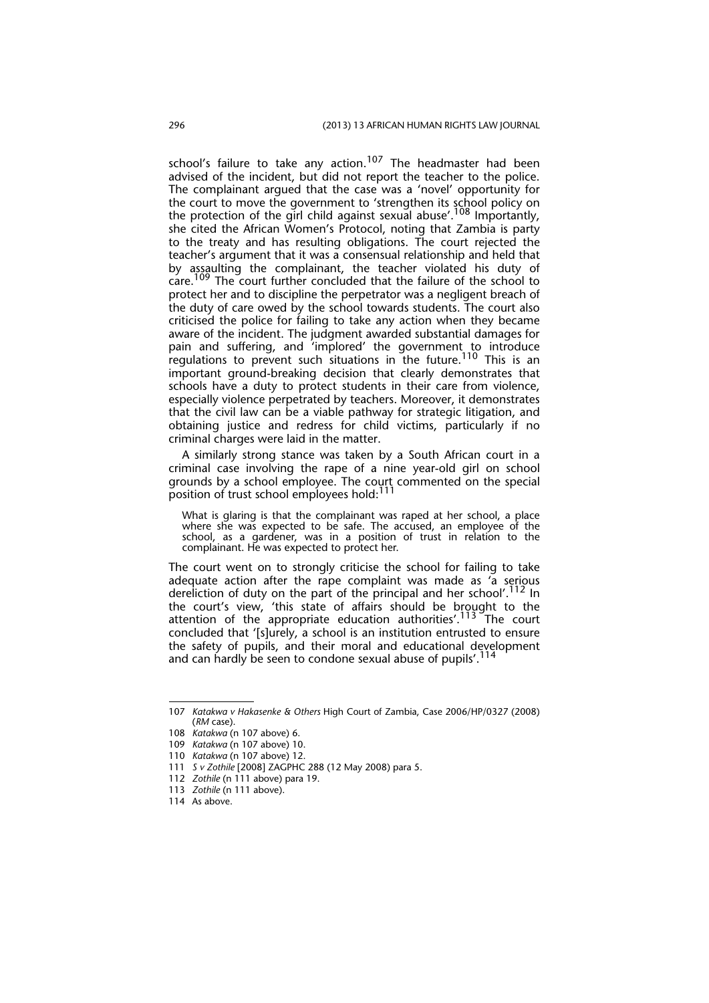school's failure to take any action.<sup>107</sup> The headmaster had been advised of the incident, but did not report the teacher to the police. The complainant argued that the case was a 'novel' opportunity for the court to move the government to 'strengthen its school policy on the protection of the girl child against sexual abuse'.<sup>108</sup> Importantly, she cited the African Women's Protocol, noting that Zambia is party to the treaty and has resulting obligations. The court rejected the teacher's argument that it was a consensual relationship and held that by assaulting the complainant, the teacher violated his duty of care.109 The court further concluded that the failure of the school to protect her and to discipline the perpetrator was a negligent breach of the duty of care owed by the school towards students. The court also criticised the police for failing to take any action when they became aware of the incident. The judgment awarded substantial damages for pain and suffering, and 'implored' the government to introduce regulations to prevent such situations in the future.110 This is an important ground-breaking decision that clearly demonstrates that schools have a duty to protect students in their care from violence, especially violence perpetrated by teachers. Moreover, it demonstrates that the civil law can be a viable pathway for strategic litigation, and obtaining justice and redress for child victims, particularly if no criminal charges were laid in the matter.

A similarly strong stance was taken by a South African court in a criminal case involving the rape of a nine year-old girl on school grounds by a school employee. The court commented on the special position of trust school employees hold:<sup>111</sup>

What is glaring is that the complainant was raped at her school, a place where she was expected to be safe. The accused, an employee of the school, as a gardener, was in a position of trust in relation to the complainant. He was expected to protect her.

The court went on to strongly criticise the school for failing to take adequate action after the rape complaint was made as 'a serious dereliction of duty on the part of the principal and her school'.<sup>112</sup> In the court's view, 'this state of affairs should be brought to the attention of the appropriate education authorities'.<sup>113</sup> The court concluded that '[s]urely, a school is an institution entrusted to ensure the safety of pupils, and their moral and educational development and can hardly be seen to condone sexual abuse of pupils'.<sup>114</sup>

<sup>107</sup> *Katakwa v Hakasenke & Others* High Court of Zambia, Case 2006/HP/0327 (2008) (*RM* case).

<sup>108</sup> *Katakwa* (n 107 above) 6.

<sup>109</sup> *Katakwa* (n 107 above) 10.

<sup>110</sup> *Katakwa* (n 107 above) 12.

<sup>111</sup> *S v Zothile* [2008] ZAGPHC 288 (12 May 2008) para 5.

<sup>112</sup> *Zothile* (n 111 above) para 19.

<sup>113</sup> *Zothile* (n 111 above).

<sup>114</sup> As above.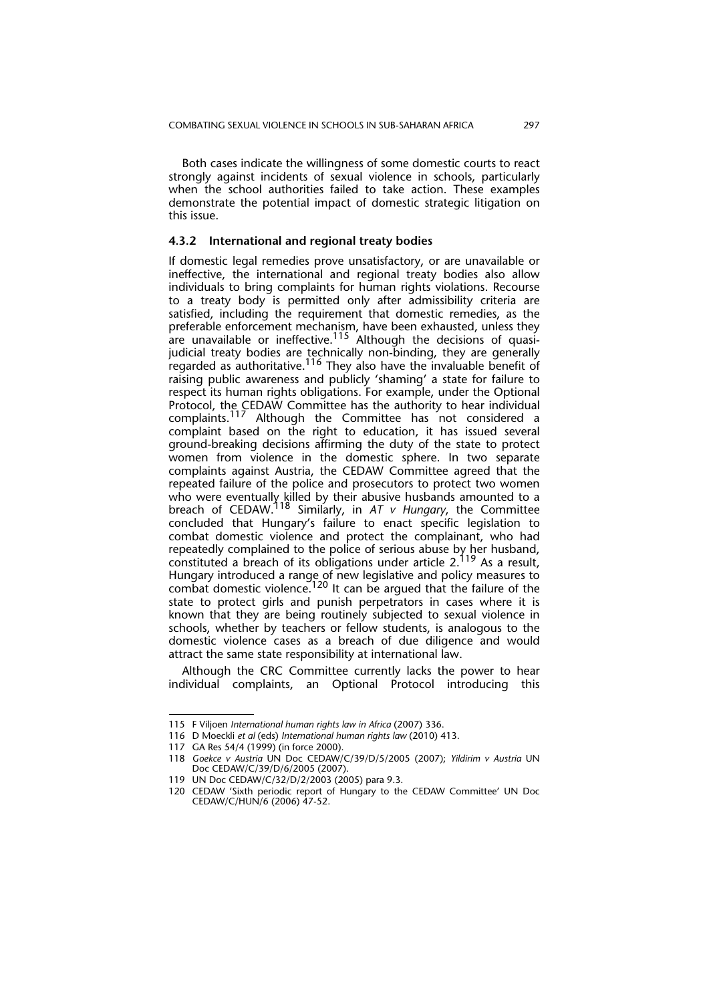Both cases indicate the willingness of some domestic courts to react strongly against incidents of sexual violence in schools, particularly when the school authorities failed to take action. These examples demonstrate the potential impact of domestic strategic litigation on this issue.

#### **4.3.2 International and regional treaty bodies**

If domestic legal remedies prove unsatisfactory, or are unavailable or ineffective, the international and regional treaty bodies also allow individuals to bring complaints for human rights violations. Recourse to a treaty body is permitted only after admissibility criteria are satisfied, including the requirement that domestic remedies, as the preferable enforcement mechanism, have been exhausted, unless they are unavailable or ineffective.<sup>115</sup> Although the decisions of quasijudicial treaty bodies are technically non-binding, they are generally regarded as authoritative. $^{116}$  They also have the invaluable benefit of raising public awareness and publicly 'shaming' a state for failure to respect its human rights obligations. For example, under the Optional Protocol, the CEDAW Committee has the authority to hear individual complaints.<sup>117</sup> Although the Committee has not considered a complaint based on the right to education, it has issued several ground-breaking decisions affirming the duty of the state to protect women from violence in the domestic sphere. In two separate complaints against Austria, the CEDAW Committee agreed that the repeated failure of the police and prosecutors to protect two women who were eventually killed by their abusive husbands amounted to a breach of CEDAW.118 Similarly, in *AT v Hungary*, the Committee concluded that Hungary's failure to enact specific legislation to combat domestic violence and protect the complainant, who had repeatedly complained to the police of serious abuse by her husband, constituted a breach of its obligations under article 2.<sup>119</sup> As a result, Hungary introduced a range of new legislative and policy measures to combat domestic violence.<sup>120</sup> It can be argued that the failure of the state to protect girls and punish perpetrators in cases where it is known that they are being routinely subjected to sexual violence in schools, whether by teachers or fellow students, is analogous to the domestic violence cases as a breach of due diligence and would attract the same state responsibility at international law.

Although the CRC Committee currently lacks the power to hear individual complaints, an Optional Protocol introducing this

<sup>115</sup> F Viljoen *International human rights law in Africa* (2007) 336.

<sup>116</sup> D Moeckli *et al* (eds) *International human rights law* (2010) 413.

<sup>117</sup> GA Res 54/4 (1999) (in force 2000).

<sup>118</sup> *Goekce v Austria* UN Doc CEDAW/C/39/D/5/2005 (2007); *Yildirim v Austria* UN Doc CEDAW/C/39/D/6/2005 (2007).

<sup>119</sup> UN Doc CEDAW/C/32/D/2/2003 (2005) para 9.3.

<sup>120</sup> CEDAW 'Sixth periodic report of Hungary to the CEDAW Committee' UN Doc CEDAW/C/HUN/6 (2006) 47-52.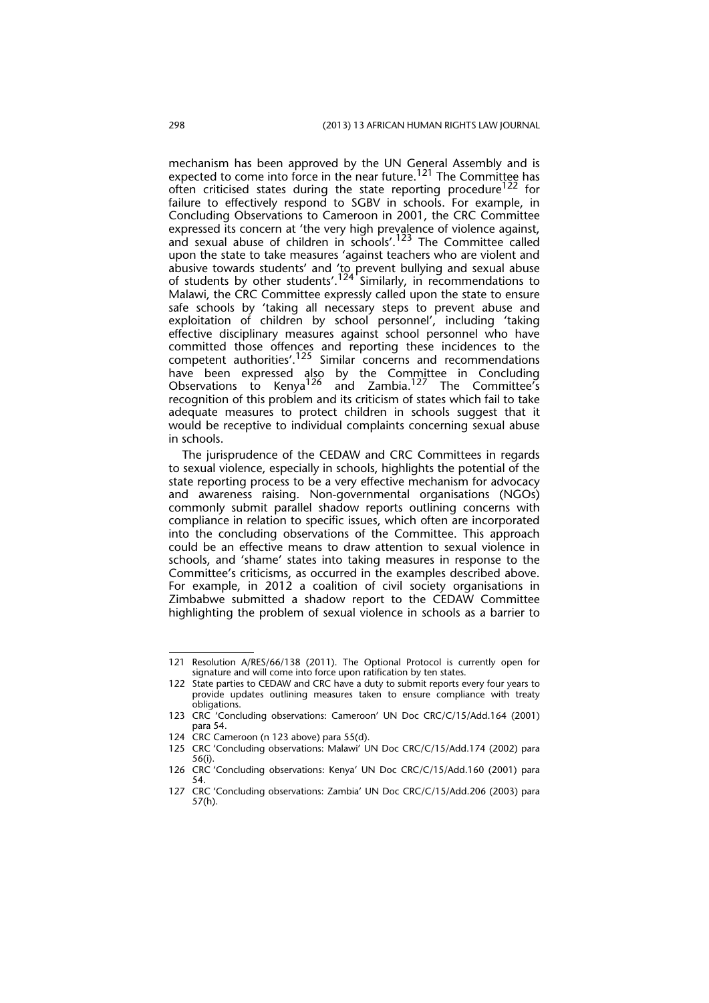mechanism has been approved by the UN General Assembly and is expected to come into force in the near future.<sup>121</sup> The Committee has often criticised states during the state reporting procedure<sup>122</sup> for failure to effectively respond to SGBV in schools. For example, in Concluding Observations to Cameroon in 2001, the CRC Committee expressed its concern at 'the very high prevalence of violence against, and sexual abuse of children in schools'.<sup>123</sup> The Committee called upon the state to take measures 'against teachers who are violent and abusive towards students' and 'to prevent bullying and sexual abuse of students by other students'.<sup>124</sup> Similarly, in recommendations to Malawi, the CRC Committee expressly called upon the state to ensure safe schools by 'taking all necessary steps to prevent abuse and exploitation of children by school personnel', including 'taking effective disciplinary measures against school personnel who have committed those offences and reporting these incidences to the competent authorities'.125 Similar concerns and recommendations have been expressed also by the Committee in Concluding Observations to Kenya<sup>126</sup> and Zambia.<sup>127</sup> The Committee's recognition of this problem and its criticism of states which fail to take adequate measures to protect children in schools suggest that it would be receptive to individual complaints concerning sexual abuse in schools.

The jurisprudence of the CEDAW and CRC Committees in regards to sexual violence, especially in schools, highlights the potential of the state reporting process to be a very effective mechanism for advocacy and awareness raising. Non-governmental organisations (NGOs) commonly submit parallel shadow reports outlining concerns with compliance in relation to specific issues, which often are incorporated into the concluding observations of the Committee. This approach could be an effective means to draw attention to sexual violence in schools, and 'shame' states into taking measures in response to the Committee's criticisms, as occurred in the examples described above. For example, in 2012 a coalition of civil society organisations in Zimbabwe submitted a shadow report to the CEDAW Committee highlighting the problem of sexual violence in schools as a barrier to

<sup>121</sup> Resolution A/RES/66/138 (2011). The Optional Protocol is currently open for signature and will come into force upon ratification by ten states.

<sup>122</sup> State parties to CEDAW and CRC have a duty to submit reports every four years to provide updates outlining measures taken to ensure compliance with treaty obligations.

<sup>123</sup> CRC 'Concluding observations: Cameroon' UN Doc CRC/C/15/Add.164 (2001) para 54.

<sup>124</sup> CRC Cameroon (n 123 above) para 55(d).

<sup>125</sup> CRC 'Concluding observations: Malawi' UN Doc CRC/C/15/Add.174 (2002) para 56(i).

<sup>126</sup> CRC 'Concluding observations: Kenya' UN Doc CRC/C/15/Add.160 (2001) para 54.

<sup>127</sup> CRC 'Concluding observations: Zambia' UN Doc CRC/C/15/Add.206 (2003) para 57(h).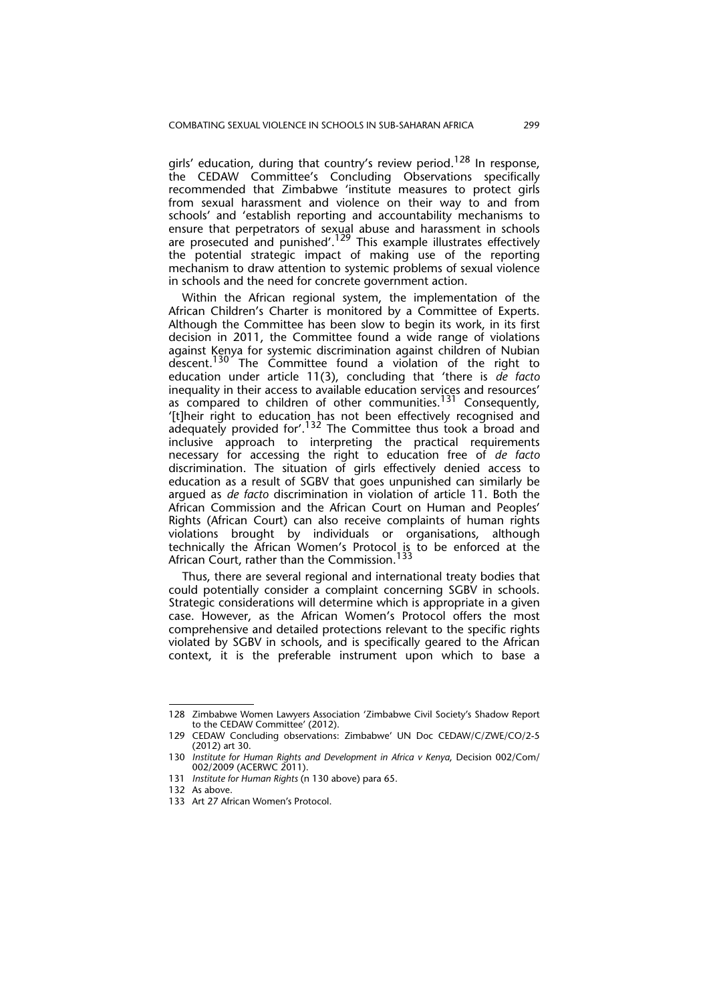girls' education, during that country's review period.<sup>128</sup> In response, the CEDAW Committee's Concluding Observations specifically recommended that Zimbabwe 'institute measures to protect girls from sexual harassment and violence on their way to and from schools' and 'establish reporting and accountability mechanisms to ensure that perpetrators of sexual abuse and harassment in schools are prosecuted and punished'.<sup>129</sup> This example illustrates effectively the potential strategic impact of making use of the reporting mechanism to draw attention to systemic problems of sexual violence in schools and the need for concrete government action.

Within the African regional system, the implementation of the African Children's Charter is monitored by a Committee of Experts. Although the Committee has been slow to begin its work, in its first decision in 2011, the Committee found a wide range of violations against Kenya for systemic discrimination against children of Nubian descent.<sup>130</sup> The Committee found a violation of the right to education under article 11(3), concluding that 'there is *de facto* inequality in their access to available education services and resources' as compared to children of other communities.<sup>131</sup> Consequently, '[t]heir right to education has not been effectively recognised and  $\alpha$ dequately provided for'.<sup>132</sup> The Committee thus took a broad and inclusive approach to interpreting the practical requirements necessary for accessing the right to education free of *de facto* discrimination. The situation of girls effectively denied access to education as a result of SGBV that goes unpunished can similarly be argued as *de facto* discrimination in violation of article 11. Both the African Commission and the African Court on Human and Peoples' Rights (African Court) can also receive complaints of human rights violations brought by individuals or organisations, although technically the African Women's Protocol is to be enforced at the African Court, rather than the Commission.<sup>133</sup>

Thus, there are several regional and international treaty bodies that could potentially consider a complaint concerning SGBV in schools. Strategic considerations will determine which is appropriate in a given case. However, as the African Women's Protocol offers the most comprehensive and detailed protections relevant to the specific rights violated by SGBV in schools, and is specifically geared to the African context, it is the preferable instrument upon which to base a

<sup>128</sup> Zimbabwe Women Lawyers Association 'Zimbabwe Civil Society's Shadow Report to the CEDAW Committee' (2012).

<sup>129</sup> CEDAW Concluding observations: Zimbabwe' UN Doc CEDAW/C/ZWE/CO/2-5 (2012) art 30.

<sup>130</sup> *Institute for Human Rights and Development in Africa v Kenya*, Decision 002/Com/ 002/2009 (ACERWC 2011).

<sup>131</sup> *Institute for Human Rights* (n 130 above) para 65.

<sup>132</sup> As above.

<sup>133</sup> Art 27 African Women's Protocol.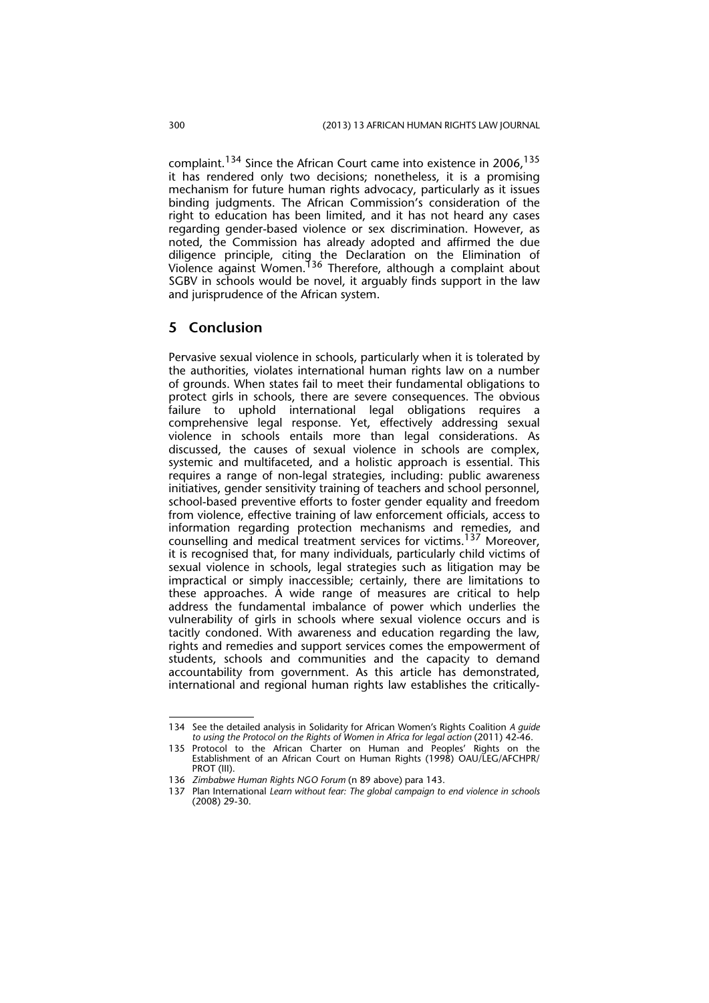complaint.<sup>134</sup> Since the African Court came into existence in 2006,<sup>135</sup> it has rendered only two decisions; nonetheless, it is a promising mechanism for future human rights advocacy, particularly as it issues binding judgments. The African Commission's consideration of the right to education has been limited, and it has not heard any cases regarding gender-based violence or sex discrimination. However, as noted, the Commission has already adopted and affirmed the due diligence principle, citing the Declaration on the Elimination of Violence against Women. <sup>136</sup> Therefore, although a complaint about SGBV in schools would be novel, it arguably finds support in the law and jurisprudence of the African system.

#### **5 Conclusion**

Pervasive sexual violence in schools, particularly when it is tolerated by the authorities, violates international human rights law on a number of grounds. When states fail to meet their fundamental obligations to protect girls in schools, there are severe consequences. The obvious failure to uphold international legal obligations requires a comprehensive legal response. Yet, effectively addressing sexual violence in schools entails more than legal considerations. As discussed, the causes of sexual violence in schools are complex, systemic and multifaceted, and a holistic approach is essential. This requires a range of non-legal strategies, including: public awareness initiatives, gender sensitivity training of teachers and school personnel, school-based preventive efforts to foster gender equality and freedom from violence, effective training of law enforcement officials, access to information regarding protection mechanisms and remedies, and counselling and medical treatment services for victims.<sup>137</sup> Moreover, it is recognised that, for many individuals, particularly child victims of sexual violence in schools, legal strategies such as litigation may be impractical or simply inaccessible; certainly, there are limitations to these approaches. A wide range of measures are critical to help address the fundamental imbalance of power which underlies the vulnerability of girls in schools where sexual violence occurs and is tacitly condoned. With awareness and education regarding the law, rights and remedies and support services comes the empowerment of students, schools and communities and the capacity to demand accountability from government. As this article has demonstrated, international and regional human rights law establishes the critically-

<sup>134</sup> See the detailed analysis in Solidarity for African Women's Rights Coalition *A guide to using the Protocol on the Rights of Women in Africa for legal action* (2011) 42-46.

<sup>135</sup> Protocol to the African Charter on Human and Peoples' Rights on the Establishment of an African Court on Human Rights (1998) OAU/LEG/AFCHPR/ PROT (III).

<sup>136</sup> *Zimbabwe Human Rights NGO Forum* (n 89 above) para 143.

<sup>137</sup> Plan International *Learn without fear: The global campaign to end violence in schools* (2008) 29-30.